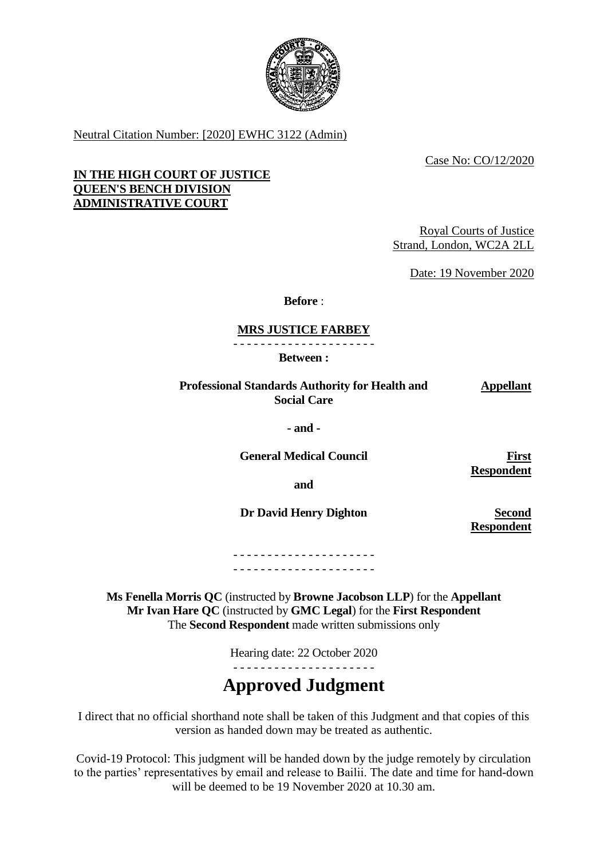

Neutral Citation Number: [2020] EWHC 3122 (Admin)

Case No: CO/12/2020

## **IN THE HIGH COURT OF JUSTICE QUEEN'S BENCH DIVISION ADMINISTRATIVE COURT**

Royal Courts of Justice Strand, London, WC2A 2LL

Date: 19 November 2020

**Before** :

# **MRS JUSTICE FARBEY**

- - - - - - - - - - - - - - - - - - - - - **Between :**

**Professional Standards Authority for Health and Social Care** 

**Appellant**

**- and -**

**General Medical Council**

**First Respondent**

**and**

**Dr David Henry Dighton**

**Second Respondent**

- - - - - - - - - - - - - - - - - - - - - - - - - - - - - - - - - - - - - - - - - -

**Ms Fenella Morris QC** (instructed by **Browne Jacobson LLP**) for the **Appellant Mr Ivan Hare QC** (instructed by **GMC Legal**) for the **First Respondent** The **Second Respondent** made written submissions only

Hearing date: 22 October 2020

# **Approved Judgment**

I direct that no official shorthand note shall be taken of this Judgment and that copies of this version as handed down may be treated as authentic.

Covid-19 Protocol: This judgment will be handed down by the judge remotely by circulation to the parties' representatives by email and release to Bailii. The date and time for hand-down will be deemed to be 19 November 2020 at 10.30 am.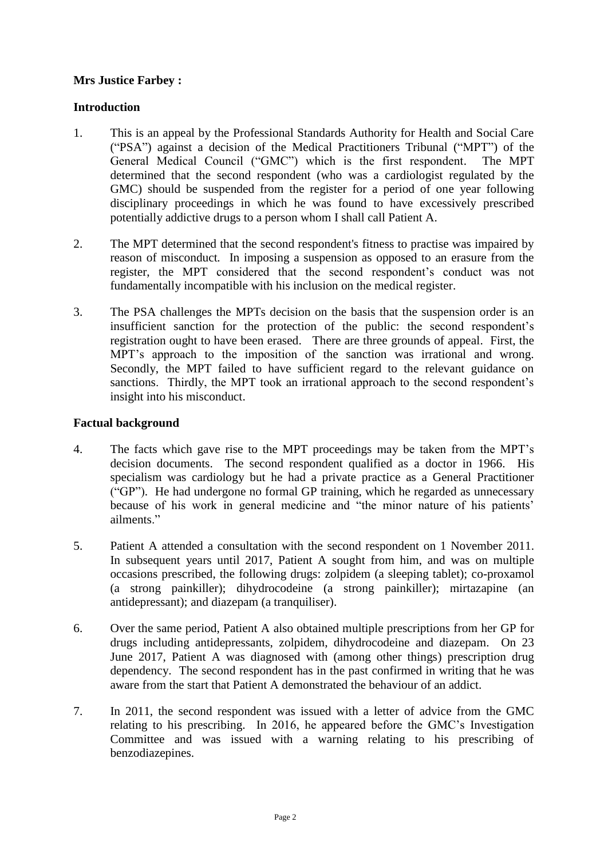# **Mrs Justice Farbey :**

# **Introduction**

- 1. This is an appeal by the Professional Standards Authority for Health and Social Care ("PSA") against a decision of the Medical Practitioners Tribunal ("MPT") of the General Medical Council ("GMC") which is the first respondent. The MPT determined that the second respondent (who was a cardiologist regulated by the GMC) should be suspended from the register for a period of one year following disciplinary proceedings in which he was found to have excessively prescribed potentially addictive drugs to a person whom I shall call Patient A.
- 2. The MPT determined that the second respondent's fitness to practise was impaired by reason of misconduct*.* In imposing a suspension as opposed to an erasure from the register, the MPT considered that the second respondent's conduct was not fundamentally incompatible with his inclusion on the medical register.
- 3. The PSA challenges the MPTs decision on the basis that the suspension order is an insufficient sanction for the protection of the public: the second respondent's registration ought to have been erased. There are three grounds of appeal. First, the MPT's approach to the imposition of the sanction was irrational and wrong. Secondly, the MPT failed to have sufficient regard to the relevant guidance on sanctions. Thirdly, the MPT took an irrational approach to the second respondent's insight into his misconduct.

## **Factual background**

- 4. The facts which gave rise to the MPT proceedings may be taken from the MPT's decision documents. The second respondent qualified as a doctor in 1966. His specialism was cardiology but he had a private practice as a General Practitioner ("GP"). He had undergone no formal GP training, which he regarded as unnecessary because of his work in general medicine and "the minor nature of his patients' ailments."
- 5. Patient A attended a consultation with the second respondent on 1 November 2011. In subsequent years until 2017, Patient A sought from him, and was on multiple occasions prescribed, the following drugs: zolpidem (a sleeping tablet); co-proxamol (a strong painkiller); dihydrocodeine (a strong painkiller); mirtazapine (an antidepressant); and diazepam (a tranquiliser).
- 6. Over the same period, Patient A also obtained multiple prescriptions from her GP for drugs including antidepressants, zolpidem, dihydrocodeine and diazepam. On 23 June 2017, Patient A was diagnosed with (among other things) prescription drug dependency. The second respondent has in the past confirmed in writing that he was aware from the start that Patient A demonstrated the behaviour of an addict.
- 7. In 2011, the second respondent was issued with a letter of advice from the GMC relating to his prescribing. In 2016, he appeared before the GMC's Investigation Committee and was issued with a warning relating to his prescribing of benzodiazepines.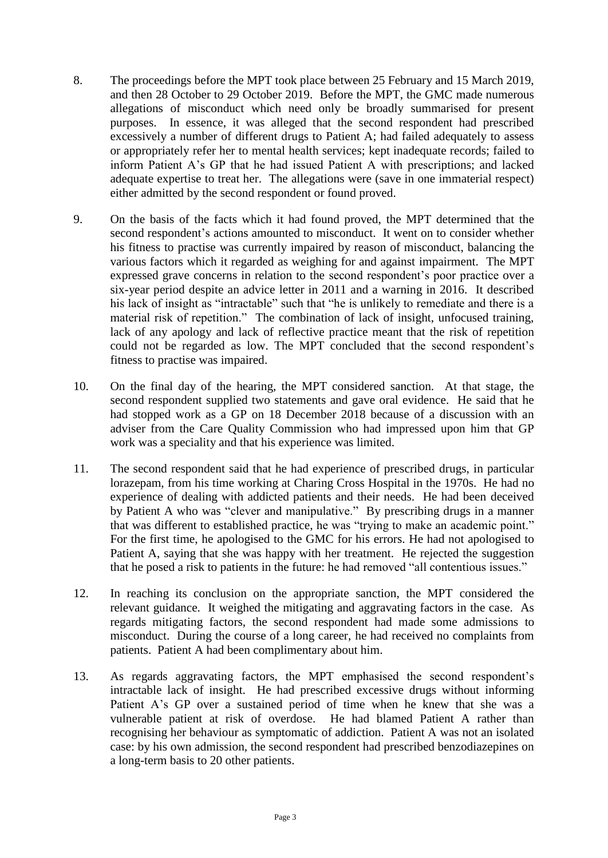- 8. The proceedings before the MPT took place between 25 February and 15 March 2019, and then 28 October to 29 October 2019. Before the MPT, the GMC made numerous allegations of misconduct which need only be broadly summarised for present purposes. In essence, it was alleged that the second respondent had prescribed excessively a number of different drugs to Patient A; had failed adequately to assess or appropriately refer her to mental health services; kept inadequate records; failed to inform Patient A's GP that he had issued Patient A with prescriptions; and lacked adequate expertise to treat her. The allegations were (save in one immaterial respect) either admitted by the second respondent or found proved.
- 9. On the basis of the facts which it had found proved, the MPT determined that the second respondent's actions amounted to misconduct. It went on to consider whether his fitness to practise was currently impaired by reason of misconduct, balancing the various factors which it regarded as weighing for and against impairment. The MPT expressed grave concerns in relation to the second respondent's poor practice over a six-year period despite an advice letter in 2011 and a warning in 2016. It described his lack of insight as "intractable" such that "he is unlikely to remediate and there is a material risk of repetition." The combination of lack of insight, unfocused training, lack of any apology and lack of reflective practice meant that the risk of repetition could not be regarded as low. The MPT concluded that the second respondent's fitness to practise was impaired.
- 10. On the final day of the hearing, the MPT considered sanction. At that stage, the second respondent supplied two statements and gave oral evidence. He said that he had stopped work as a GP on 18 December 2018 because of a discussion with an adviser from the Care Quality Commission who had impressed upon him that GP work was a speciality and that his experience was limited.
- 11. The second respondent said that he had experience of prescribed drugs, in particular lorazepam, from his time working at Charing Cross Hospital in the 1970s. He had no experience of dealing with addicted patients and their needs. He had been deceived by Patient A who was "clever and manipulative." By prescribing drugs in a manner that was different to established practice, he was "trying to make an academic point." For the first time, he apologised to the GMC for his errors. He had not apologised to Patient A, saying that she was happy with her treatment. He rejected the suggestion that he posed a risk to patients in the future: he had removed "all contentious issues."
- 12. In reaching its conclusion on the appropriate sanction, the MPT considered the relevant guidance. It weighed the mitigating and aggravating factors in the case. As regards mitigating factors, the second respondent had made some admissions to misconduct. During the course of a long career, he had received no complaints from patients. Patient A had been complimentary about him.
- 13. As regards aggravating factors, the MPT emphasised the second respondent's intractable lack of insight. He had prescribed excessive drugs without informing Patient A's GP over a sustained period of time when he knew that she was a vulnerable patient at risk of overdose. He had blamed Patient A rather than recognising her behaviour as symptomatic of addiction. Patient A was not an isolated case: by his own admission, the second respondent had prescribed benzodiazepines on a long-term basis to 20 other patients.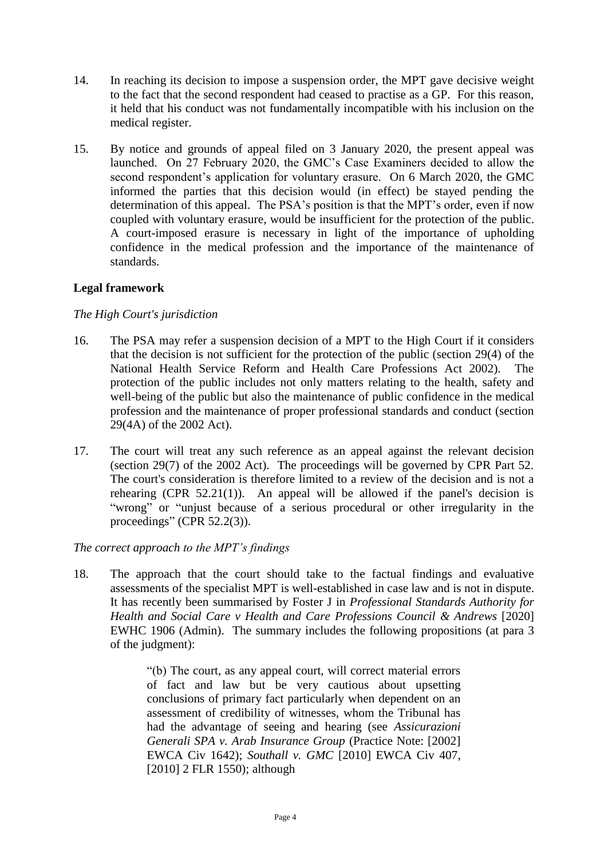- 14. In reaching its decision to impose a suspension order, the MPT gave decisive weight to the fact that the second respondent had ceased to practise as a GP. For this reason, it held that his conduct was not fundamentally incompatible with his inclusion on the medical register.
- 15. By notice and grounds of appeal filed on 3 January 2020, the present appeal was launched. On 27 February 2020, the GMC's Case Examiners decided to allow the second respondent's application for voluntary erasure. On 6 March 2020, the GMC informed the parties that this decision would (in effect) be stayed pending the determination of this appeal. The PSA's position is that the MPT's order, even if now coupled with voluntary erasure, would be insufficient for the protection of the public. A court-imposed erasure is necessary in light of the importance of upholding confidence in the medical profession and the importance of the maintenance of standards.

# **Legal framework**

## *The High Court's jurisdiction*

- 16. The PSA may refer a suspension decision of a MPT to the High Court if it considers that the decision is not sufficient for the protection of the public (section 29(4) of the National Health Service Reform and Health Care Professions Act 2002). The protection of the public includes not only matters relating to the health, safety and well-being of the public but also the maintenance of public confidence in the medical profession and the maintenance of proper professional standards and conduct (section 29(4A) of the 2002 Act).
- 17. The court will treat any such reference as an appeal against the relevant decision (section 29(7) of the 2002 Act). The proceedings will be governed by CPR Part 52. The court's consideration is therefore limited to a review of the decision and is not a rehearing  $(CPR 52.21(1))$ . An appeal will be allowed if the panel's decision is "wrong" or "unjust because of a serious procedural or other irregularity in the proceedings" (CPR 52.2(3)).

#### *The correct approach to the MPT's findings*

18. The approach that the court should take to the factual findings and evaluative assessments of the specialist MPT is well-established in case law and is not in dispute. It has recently been summarised by Foster J in *Professional Standards Authority for Health and Social Care v Health and Care Professions Council & Andrews* [2020] EWHC 1906 (Admin). The summary includes the following propositions (at para 3 of the judgment):

> "(b) The court, as any appeal court, will correct material errors of fact and law but be very cautious about upsetting conclusions of primary fact particularly when dependent on an assessment of credibility of witnesses, whom the Tribunal has had the advantage of seeing and hearing (see *Assicurazioni Generali SPA v. Arab Insurance Group* (Practice Note: [2002] EWCA Civ 1642); *Southall v. GMC* [2010] EWCA Civ 407, [2010] 2 FLR 1550); although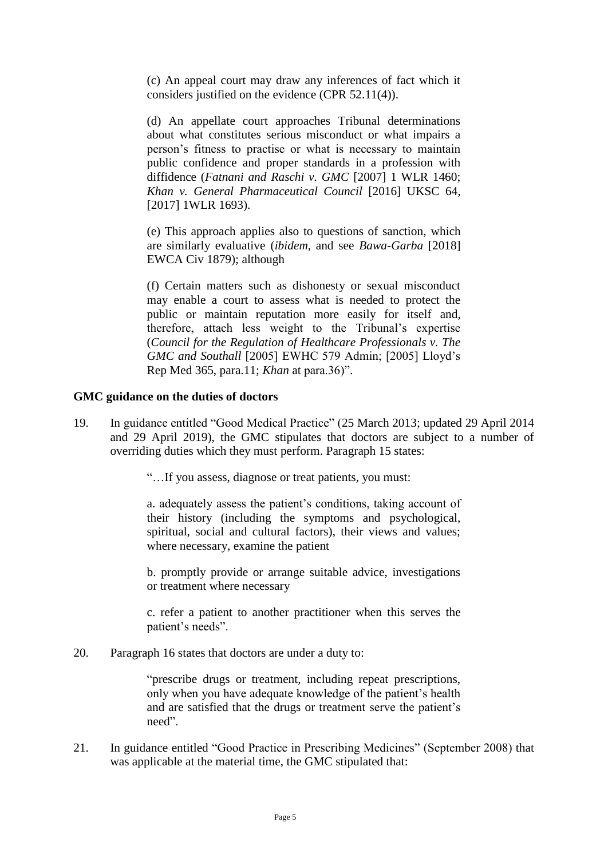(c) An appeal court may draw any inferences of fact which it considers justified on the evidence (CPR 52.11(4)).

(d) An appellate court approaches Tribunal determinations about what constitutes serious misconduct or what impairs a person's fitness to practise or what is necessary to maintain public confidence and proper standards in a profession with diffidence (*Fatnani and Raschi v. GMC* [2007] 1 WLR 1460; *Khan v. General Pharmaceutical Council* [2016] UKSC 64, [2017] 1WLR 1693).

(e) This approach applies also to questions of sanction, which are similarly evaluative (*ibidem*, and see *Bawa-Garba* [2018] EWCA Civ 1879); although

(f) Certain matters such as dishonesty or sexual misconduct may enable a court to assess what is needed to protect the public or maintain reputation more easily for itself and, therefore, attach less weight to the Tribunal's expertise (*Council for the Regulation of Healthcare Professionals v. The GMC and Southall* [2005] EWHC 579 Admin; [2005] Lloyd's Rep Med 365, para.11; *Khan* at para.36)".

#### **GMC guidance on the duties of doctors**

19. In guidance entitled "Good Medical Practice" (25 March 2013; updated 29 April 2014 and 29 April 2019), the GMC stipulates that doctors are subject to a number of overriding duties which they must perform. Paragraph 15 states:

"…If you assess, diagnose or treat patients, you must:

a. adequately assess the patient's conditions, taking account of their history (including the symptoms and psychological, spiritual, social and cultural factors), their views and values; where necessary, examine the patient

b. promptly provide or arrange suitable advice, investigations or treatment where necessary

c. refer a patient to another practitioner when this serves the patient's needs".

20. Paragraph 16 states that doctors are under a duty to:

"prescribe drugs or treatment, including repeat prescriptions, only when you have adequate knowledge of the patient's health and are satisfied that the drugs or treatment serve the patient's need".

21. In guidance entitled "Good Practice in Prescribing Medicines" (September 2008) that was applicable at the material time, the GMC stipulated that: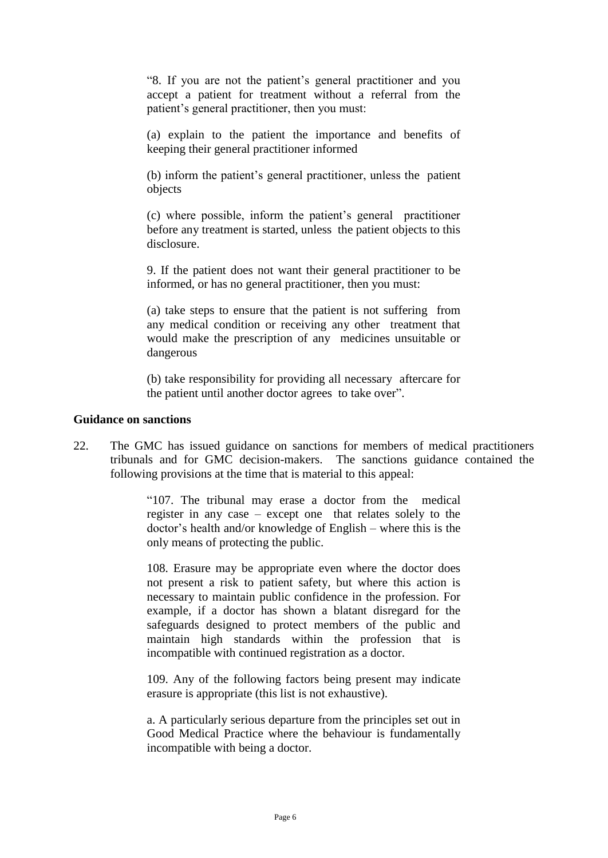"8. If you are not the patient's general practitioner and you accept a patient for treatment without a referral from the patient's general practitioner, then you must:

(a) explain to the patient the importance and benefits of keeping their general practitioner informed

(b) inform the patient's general practitioner, unless the patient objects

(c) where possible, inform the patient's general practitioner before any treatment is started, unless the patient objects to this disclosure.

9. If the patient does not want their general practitioner to be informed, or has no general practitioner, then you must:

(a) take steps to ensure that the patient is not suffering from any medical condition or receiving any other treatment that would make the prescription of any medicines unsuitable or dangerous

(b) take responsibility for providing all necessary aftercare for the patient until another doctor agrees to take over".

#### **Guidance on sanctions**

22. The GMC has issued guidance on sanctions for members of medical practitioners tribunals and for GMC decision-makers. The sanctions guidance contained the following provisions at the time that is material to this appeal:

> "107. The tribunal may erase a doctor from the medical register in any case – except one that relates solely to the doctor's health and/or knowledge of English – where this is the only means of protecting the public.

> 108. Erasure may be appropriate even where the doctor does not present a risk to patient safety, but where this action is necessary to maintain public confidence in the profession. For example, if a doctor has shown a blatant disregard for the safeguards designed to protect members of the public and maintain high standards within the profession that is incompatible with continued registration as a doctor.

> 109. Any of the following factors being present may indicate erasure is appropriate (this list is not exhaustive).

> a. A particularly serious departure from the principles set out in Good Medical Practice where the behaviour is fundamentally incompatible with being a doctor.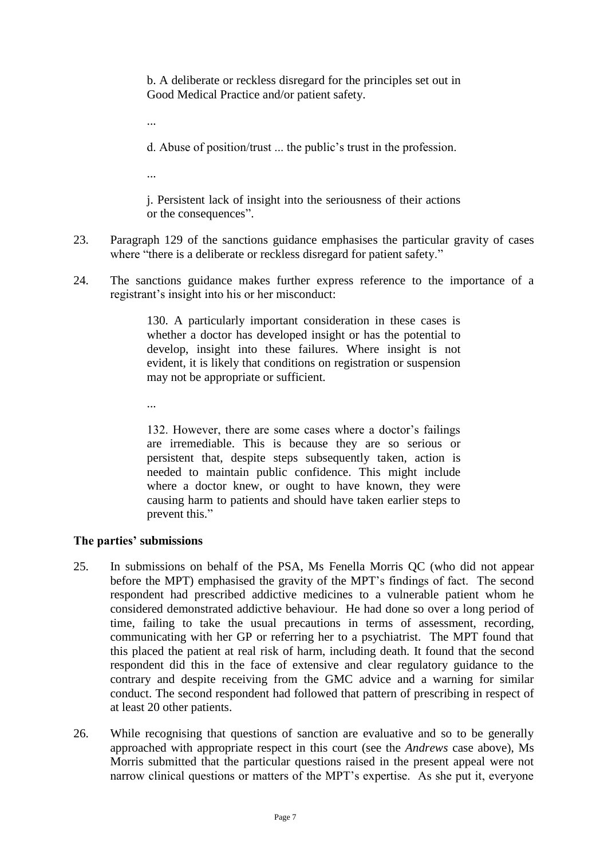b. A deliberate or reckless disregard for the principles set out in Good Medical Practice and/or patient safety.

...

d. Abuse of position/trust ... the public's trust in the profession.

...

j. Persistent lack of insight into the seriousness of their actions or the consequences".

- 23. Paragraph 129 of the sanctions guidance emphasises the particular gravity of cases where "there is a deliberate or reckless disregard for patient safety."
- 24. The sanctions guidance makes further express reference to the importance of a registrant's insight into his or her misconduct:

130. A particularly important consideration in these cases is whether a doctor has developed insight or has the potential to develop, insight into these failures. Where insight is not evident, it is likely that conditions on registration or suspension may not be appropriate or sufficient.

...

132. However, there are some cases where a doctor's failings are irremediable. This is because they are so serious or persistent that, despite steps subsequently taken, action is needed to maintain public confidence. This might include where a doctor knew, or ought to have known, they were causing harm to patients and should have taken earlier steps to prevent this."

# **The parties' submissions**

- 25. In submissions on behalf of the PSA, Ms Fenella Morris QC (who did not appear before the MPT) emphasised the gravity of the MPT's findings of fact. The second respondent had prescribed addictive medicines to a vulnerable patient whom he considered demonstrated addictive behaviour. He had done so over a long period of time, failing to take the usual precautions in terms of assessment, recording, communicating with her GP or referring her to a psychiatrist. The MPT found that this placed the patient at real risk of harm, including death. It found that the second respondent did this in the face of extensive and clear regulatory guidance to the contrary and despite receiving from the GMC advice and a warning for similar conduct. The second respondent had followed that pattern of prescribing in respect of at least 20 other patients.
- 26. While recognising that questions of sanction are evaluative and so to be generally approached with appropriate respect in this court (see the *Andrews* case above), Ms Morris submitted that the particular questions raised in the present appeal were not narrow clinical questions or matters of the MPT's expertise. As she put it, everyone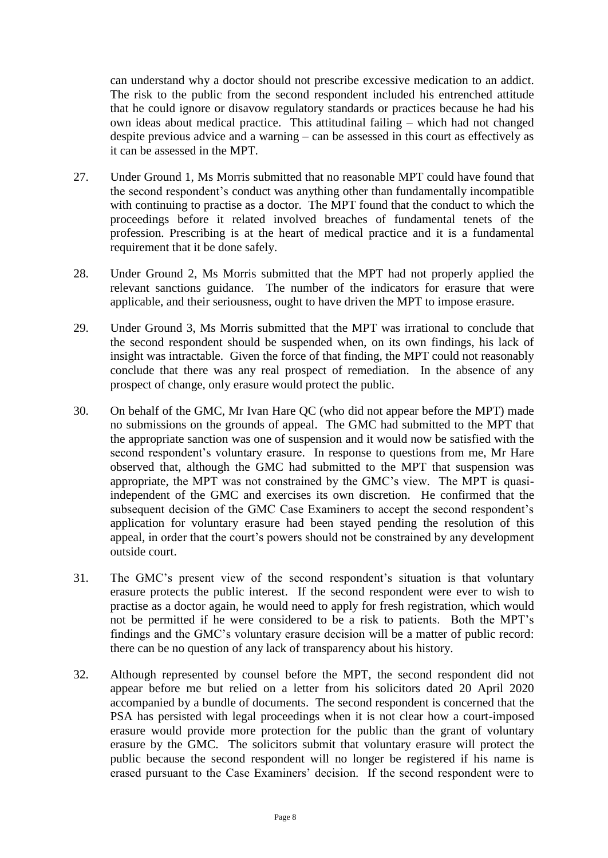can understand why a doctor should not prescribe excessive medication to an addict. The risk to the public from the second respondent included his entrenched attitude that he could ignore or disavow regulatory standards or practices because he had his own ideas about medical practice. This attitudinal failing – which had not changed despite previous advice and a warning – can be assessed in this court as effectively as it can be assessed in the MPT.

- 27. Under Ground 1, Ms Morris submitted that no reasonable MPT could have found that the second respondent's conduct was anything other than fundamentally incompatible with continuing to practise as a doctor. The MPT found that the conduct to which the proceedings before it related involved breaches of fundamental tenets of the profession. Prescribing is at the heart of medical practice and it is a fundamental requirement that it be done safely.
- 28. Under Ground 2, Ms Morris submitted that the MPT had not properly applied the relevant sanctions guidance. The number of the indicators for erasure that were applicable, and their seriousness, ought to have driven the MPT to impose erasure.
- 29. Under Ground 3, Ms Morris submitted that the MPT was irrational to conclude that the second respondent should be suspended when, on its own findings, his lack of insight was intractable. Given the force of that finding, the MPT could not reasonably conclude that there was any real prospect of remediation. In the absence of any prospect of change, only erasure would protect the public.
- 30. On behalf of the GMC, Mr Ivan Hare QC (who did not appear before the MPT) made no submissions on the grounds of appeal. The GMC had submitted to the MPT that the appropriate sanction was one of suspension and it would now be satisfied with the second respondent's voluntary erasure. In response to questions from me, Mr Hare observed that, although the GMC had submitted to the MPT that suspension was appropriate, the MPT was not constrained by the GMC's view. The MPT is quasiindependent of the GMC and exercises its own discretion. He confirmed that the subsequent decision of the GMC Case Examiners to accept the second respondent's application for voluntary erasure had been stayed pending the resolution of this appeal, in order that the court's powers should not be constrained by any development outside court.
- 31. The GMC's present view of the second respondent's situation is that voluntary erasure protects the public interest. If the second respondent were ever to wish to practise as a doctor again, he would need to apply for fresh registration, which would not be permitted if he were considered to be a risk to patients. Both the MPT's findings and the GMC's voluntary erasure decision will be a matter of public record: there can be no question of any lack of transparency about his history.
- 32. Although represented by counsel before the MPT, the second respondent did not appear before me but relied on a letter from his solicitors dated 20 April 2020 accompanied by a bundle of documents. The second respondent is concerned that the PSA has persisted with legal proceedings when it is not clear how a court-imposed erasure would provide more protection for the public than the grant of voluntary erasure by the GMC. The solicitors submit that voluntary erasure will protect the public because the second respondent will no longer be registered if his name is erased pursuant to the Case Examiners' decision. If the second respondent were to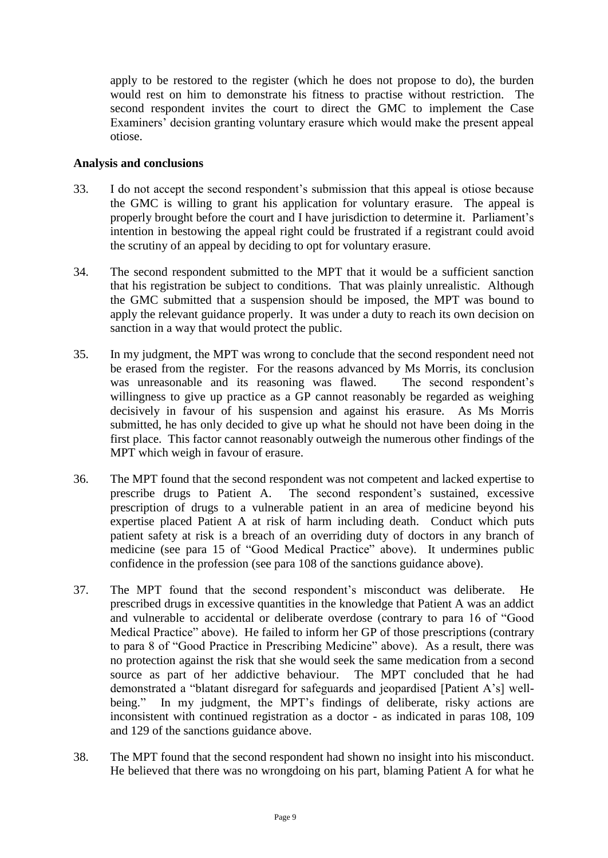apply to be restored to the register (which he does not propose to do), the burden would rest on him to demonstrate his fitness to practise without restriction. The second respondent invites the court to direct the GMC to implement the Case Examiners' decision granting voluntary erasure which would make the present appeal otiose.

## **Analysis and conclusions**

- 33. I do not accept the second respondent's submission that this appeal is otiose because the GMC is willing to grant his application for voluntary erasure. The appeal is properly brought before the court and I have jurisdiction to determine it. Parliament's intention in bestowing the appeal right could be frustrated if a registrant could avoid the scrutiny of an appeal by deciding to opt for voluntary erasure.
- 34. The second respondent submitted to the MPT that it would be a sufficient sanction that his registration be subject to conditions. That was plainly unrealistic. Although the GMC submitted that a suspension should be imposed, the MPT was bound to apply the relevant guidance properly. It was under a duty to reach its own decision on sanction in a way that would protect the public.
- 35. In my judgment, the MPT was wrong to conclude that the second respondent need not be erased from the register. For the reasons advanced by Ms Morris, its conclusion was unreasonable and its reasoning was flawed. The second respondent's willingness to give up practice as a GP cannot reasonably be regarded as weighing decisively in favour of his suspension and against his erasure. As Ms Morris submitted, he has only decided to give up what he should not have been doing in the first place. This factor cannot reasonably outweigh the numerous other findings of the MPT which weigh in favour of erasure.
- 36. The MPT found that the second respondent was not competent and lacked expertise to prescribe drugs to Patient A. The second respondent's sustained, excessive prescription of drugs to a vulnerable patient in an area of medicine beyond his expertise placed Patient A at risk of harm including death. Conduct which puts patient safety at risk is a breach of an overriding duty of doctors in any branch of medicine (see para 15 of "Good Medical Practice" above). It undermines public confidence in the profession (see para 108 of the sanctions guidance above).
- 37. The MPT found that the second respondent's misconduct was deliberate. He prescribed drugs in excessive quantities in the knowledge that Patient A was an addict and vulnerable to accidental or deliberate overdose (contrary to para 16 of "Good Medical Practice" above). He failed to inform her GP of those prescriptions (contrary to para 8 of "Good Practice in Prescribing Medicine" above). As a result, there was no protection against the risk that she would seek the same medication from a second source as part of her addictive behaviour. The MPT concluded that he had demonstrated a "blatant disregard for safeguards and jeopardised [Patient A's] wellbeing." In my judgment, the MPT's findings of deliberate, risky actions are inconsistent with continued registration as a doctor - as indicated in paras 108, 109 and 129 of the sanctions guidance above.
- 38. The MPT found that the second respondent had shown no insight into his misconduct. He believed that there was no wrongdoing on his part, blaming Patient A for what he